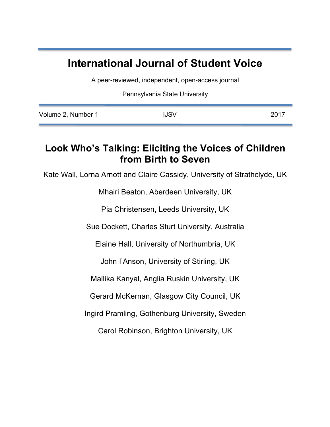# **International Journal of Student Voice**

A peer-reviewed, independent, open-access journal

Pennsylvania State University

| Volume 2, Number 1 | <b>IJSV</b> | 2017 |
|--------------------|-------------|------|
|                    |             |      |

## **Look Who's Talking: Eliciting the Voices of Children from Birth to Seven**

Kate Wall, Lorna Arnott and Claire Cassidy, University of Strathclyde, UK

Mhairi Beaton, Aberdeen University, UK

Pia Christensen, Leeds University, UK

Sue Dockett, Charles Sturt University, Australia

Elaine Hall, University of Northumbria, UK

John I'Anson, University of Stirling, UK

Mallika Kanyal, Anglia Ruskin University, UK

Gerard McKernan, Glasgow City Council, UK

Ingird Pramling, Gothenburg University, Sweden

Carol Robinson, Brighton University, UK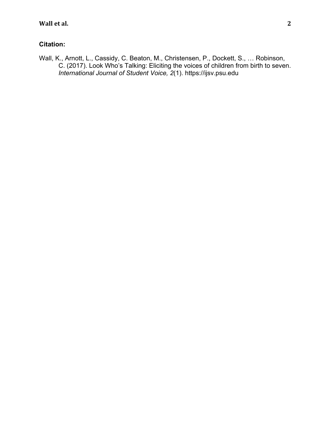## **Citation:**

Wall, K., Arnott, L., Cassidy, C. Beaton, M., Christensen, P., Dockett, S., … Robinson, C. (2017). Look Who's Talking: Eliciting the voices of children from birth to seven. *International Journal of Student Voice, 2*(1). https://ijsv.psu.edu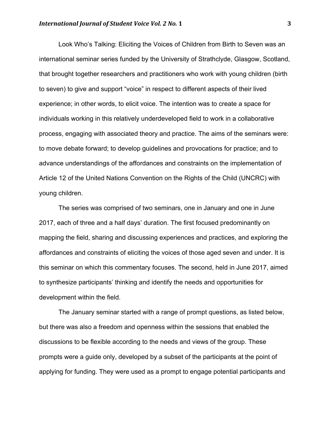Look Who's Talking: Eliciting the Voices of Children from Birth to Seven was an international seminar series funded by the University of Strathclyde, Glasgow, Scotland, that brought together researchers and practitioners who work with young children (birth to seven) to give and support "voice" in respect to different aspects of their lived experience; in other words, to elicit voice. The intention was to create a space for individuals working in this relatively underdeveloped field to work in a collaborative process, engaging with associated theory and practice. The aims of the seminars were: to move debate forward; to develop guidelines and provocations for practice; and to advance understandings of the affordances and constraints on the implementation of Article 12 of the United Nations Convention on the Rights of the Child (UNCRC) with young children.

The series was comprised of two seminars, one in January and one in June 2017, each of three and a half days' duration. The first focused predominantly on mapping the field, sharing and discussing experiences and practices, and exploring the affordances and constraints of eliciting the voices of those aged seven and under. It is this seminar on which this commentary focuses. The second, held in June 2017, aimed to synthesize participants' thinking and identify the needs and opportunities for development within the field.

The January seminar started with a range of prompt questions, as listed below, but there was also a freedom and openness within the sessions that enabled the discussions to be flexible according to the needs and views of the group. These prompts were a guide only, developed by a subset of the participants at the point of applying for funding. They were used as a prompt to engage potential participants and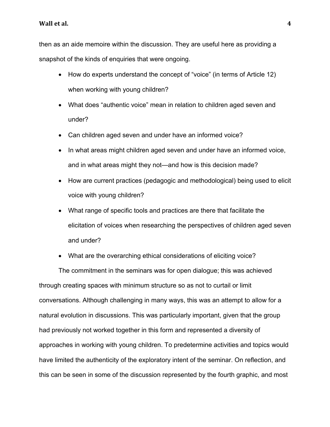### **Wall et al.** 4

then as an aide memoire within the discussion. They are useful here as providing a snapshot of the kinds of enquiries that were ongoing.

- How do experts understand the concept of "voice" (in terms of Article 12) when working with young children?
- What does "authentic voice" mean in relation to children aged seven and under?
- Can children aged seven and under have an informed voice?
- In what areas might children aged seven and under have an informed voice, and in what areas might they not—and how is this decision made?
- How are current practices (pedagogic and methodological) being used to elicit voice with young children?
- What range of specific tools and practices are there that facilitate the elicitation of voices when researching the perspectives of children aged seven and under?
- What are the overarching ethical considerations of eliciting voice?

The commitment in the seminars was for open dialogue; this was achieved through creating spaces with minimum structure so as not to curtail or limit conversations. Although challenging in many ways, this was an attempt to allow for a natural evolution in discussions. This was particularly important, given that the group had previously not worked together in this form and represented a diversity of approaches in working with young children. To predetermine activities and topics would have limited the authenticity of the exploratory intent of the seminar. On reflection, and this can be seen in some of the discussion represented by the fourth graphic, and most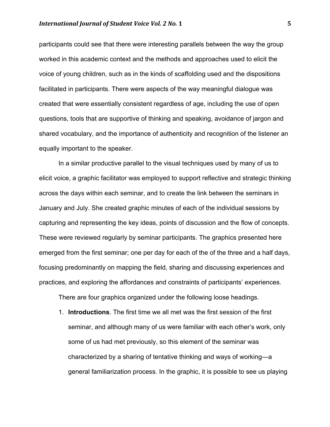participants could see that there were interesting parallels between the way the group worked in this academic context and the methods and approaches used to elicit the voice of young children, such as in the kinds of scaffolding used and the dispositions facilitated in participants. There were aspects of the way meaningful dialogue was created that were essentially consistent regardless of age, including the use of open questions, tools that are supportive of thinking and speaking, avoidance of jargon and shared vocabulary, and the importance of authenticity and recognition of the listener an equally important to the speaker.

In a similar productive parallel to the visual techniques used by many of us to elicit voice, a graphic facilitator was employed to support reflective and strategic thinking across the days within each seminar, and to create the link between the seminars in January and July. She created graphic minutes of each of the individual sessions by capturing and representing the key ideas, points of discussion and the flow of concepts. These were reviewed regularly by seminar participants. The graphics presented here emerged from the first seminar; one per day for each of the of the three and a half days, focusing predominantly on mapping the field, sharing and discussing experiences and practices, and exploring the affordances and constraints of participants' experiences.

There are four graphics organized under the following loose headings.

1. **Introductions**. The first time we all met was the first session of the first seminar, and although many of us were familiar with each other's work, only some of us had met previously, so this element of the seminar was characterized by a sharing of tentative thinking and ways of working—a general familiarization process. In the graphic, it is possible to see us playing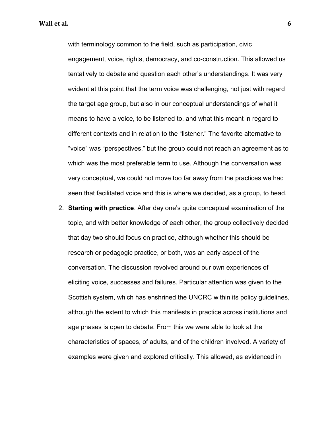with terminology common to the field, such as participation, civic engagement, voice, rights, democracy, and co-construction. This allowed us tentatively to debate and question each other's understandings. It was very evident at this point that the term voice was challenging, not just with regard the target age group, but also in our conceptual understandings of what it means to have a voice, to be listened to, and what this meant in regard to different contexts and in relation to the "listener." The favorite alternative to "voice" was "perspectives," but the group could not reach an agreement as to which was the most preferable term to use. Although the conversation was very conceptual, we could not move too far away from the practices we had seen that facilitated voice and this is where we decided, as a group, to head.

2. **Starting with practice**. After day one's quite conceptual examination of the topic, and with better knowledge of each other, the group collectively decided that day two should focus on practice, although whether this should be research or pedagogic practice, or both, was an early aspect of the conversation. The discussion revolved around our own experiences of eliciting voice, successes and failures. Particular attention was given to the Scottish system, which has enshrined the UNCRC within its policy guidelines, although the extent to which this manifests in practice across institutions and age phases is open to debate. From this we were able to look at the characteristics of spaces, of adults, and of the children involved. A variety of examples were given and explored critically. This allowed, as evidenced in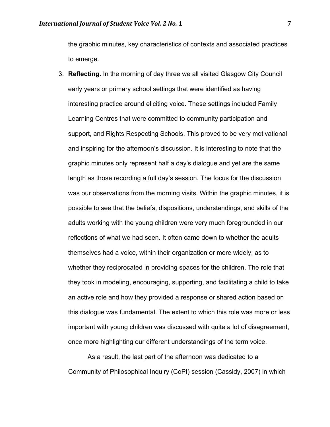the graphic minutes, key characteristics of contexts and associated practices to emerge.

3. **Reflecting.** In the morning of day three we all visited Glasgow City Council early years or primary school settings that were identified as having interesting practice around eliciting voice. These settings included Family Learning Centres that were committed to community participation and support, and Rights Respecting Schools. This proved to be very motivational and inspiring for the afternoon's discussion. It is interesting to note that the graphic minutes only represent half a day's dialogue and yet are the same length as those recording a full day's session. The focus for the discussion was our observations from the morning visits. Within the graphic minutes, it is possible to see that the beliefs, dispositions, understandings, and skills of the adults working with the young children were very much foregrounded in our reflections of what we had seen. It often came down to whether the adults themselves had a voice, within their organization or more widely, as to whether they reciprocated in providing spaces for the children. The role that they took in modeling, encouraging, supporting, and facilitating a child to take an active role and how they provided a response or shared action based on this dialogue was fundamental. The extent to which this role was more or less important with young children was discussed with quite a lot of disagreement, once more highlighting our different understandings of the term voice.

As a result, the last part of the afternoon was dedicated to a Community of Philosophical Inquiry (CoPI) session (Cassidy, 2007) in which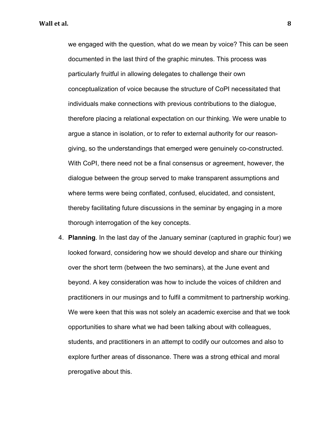we engaged with the question, what do we mean by voice? This can be seen documented in the last third of the graphic minutes. This process was particularly fruitful in allowing delegates to challenge their own conceptualization of voice because the structure of CoPI necessitated that individuals make connections with previous contributions to the dialogue, therefore placing a relational expectation on our thinking. We were unable to argue a stance in isolation, or to refer to external authority for our reasongiving, so the understandings that emerged were genuinely co-constructed. With CoPI, there need not be a final consensus or agreement, however, the dialogue between the group served to make transparent assumptions and where terms were being conflated, confused, elucidated, and consistent, thereby facilitating future discussions in the seminar by engaging in a more thorough interrogation of the key concepts.

4. **Planning**. In the last day of the January seminar (captured in graphic four) we looked forward, considering how we should develop and share our thinking over the short term (between the two seminars), at the June event and beyond. A key consideration was how to include the voices of children and practitioners in our musings and to fulfil a commitment to partnership working. We were keen that this was not solely an academic exercise and that we took opportunities to share what we had been talking about with colleagues, students, and practitioners in an attempt to codify our outcomes and also to explore further areas of dissonance. There was a strong ethical and moral prerogative about this.